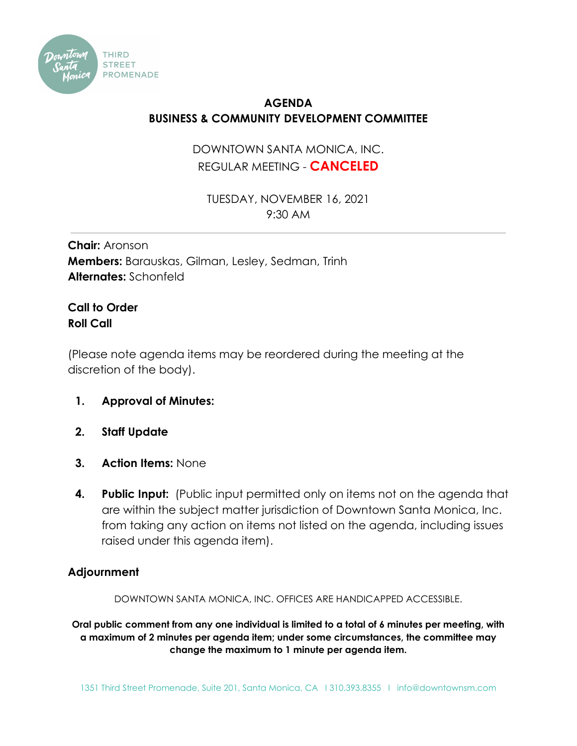

## **AGENDA BUSINESS & COMMUNITY DEVELOPMENT COMMITTEE**

## DOWNTOWN SANTA MONICA, INC. REGULAR MEETING - **CANCELED**

TUESDAY, NOVEMBER 16, 2021 9:30 AM

**Chair:** Aronson **Members:** Barauskas, Gilman, Lesley, Sedman, Trinh **Alternates:** Schonfeld

## **Call to Order Roll Call**

(Please note agenda items may be reordered during the meeting at the discretion of the body).

- **1. Approval of Minutes:**
- **2. Staff Update**
- **3. Action Items:** None
- **4. Public Input:** (Public input permitted only on items not on the agenda that are within the subject matter jurisdiction of Downtown Santa Monica, Inc. from taking any action on items not listed on the agenda, including issues raised under this agenda item).

## **Adjournment**

DOWNTOWN SANTA MONICA, INC. OFFICES ARE HANDICAPPED ACCESSIBLE.

**Oral public comment from any one individual is limited to a total of 6 minutes per meeting, with a maximum of 2 minutes per agenda item; under some circumstances, the committee may change the maximum to 1 minute per agenda item.**